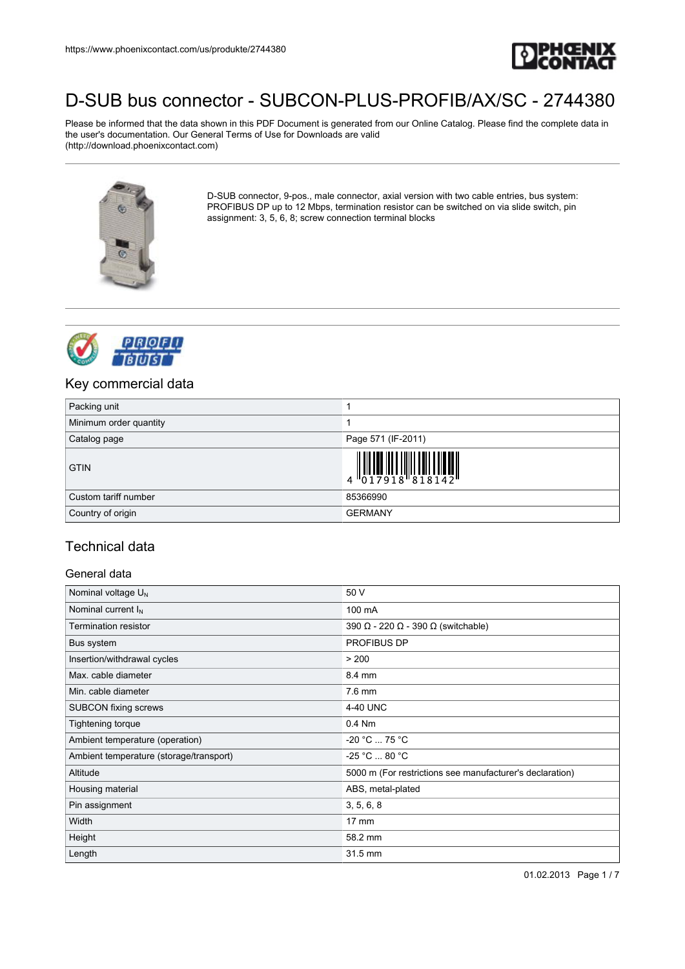

Please be informed that the data shown in this PDF Document is generated from our Online Catalog. Please find the complete data in the user's documentation. Our General Terms of Use for Downloads are valid (http://download.phoenixcontact.com)



D-SUB connector, 9-pos., male connector, axial version with two cable entries, bus system: PROFIBUS DP up to 12 Mbps, termination resistor can be switched on via slide switch, pin assignment: 3, 5, 6, 8; screw connection terminal blocks



### Key commercial data

| Packing unit           |                                                                                                                                                                                                                                                                                                                                                                                                                                                                                |
|------------------------|--------------------------------------------------------------------------------------------------------------------------------------------------------------------------------------------------------------------------------------------------------------------------------------------------------------------------------------------------------------------------------------------------------------------------------------------------------------------------------|
| Minimum order quantity |                                                                                                                                                                                                                                                                                                                                                                                                                                                                                |
| Catalog page           | Page 571 (IF-2011)                                                                                                                                                                                                                                                                                                                                                                                                                                                             |
| <b>GTIN</b>            | $\left\  \begin{matrix} 1 \\ 0 \\ 1 \end{matrix} \right\ _2 \left\  \begin{matrix} 1 \\ 0 \\ 0 \\ 1 \end{matrix} \right\ _2 \left\  \begin{matrix} 1 \\ 0 \\ 1 \end{matrix} \right\ _2 \left\  \begin{matrix} 1 \\ 0 \\ 1 \end{matrix} \right\ _2 \left\  \begin{matrix} 1 \\ 0 \\ 0 \\ 1 \end{matrix} \right\ _2 \left\  \begin{matrix} 1 \\ 0 \\ 0 \\ 1 \end{matrix} \right\ _2 \left\  \begin{matrix} 1 \\ 0 \\ 0 \\ 0 \\ 0 \end{matrix} \right\ _2 \left\  \begin{matrix}$ |
| Custom tariff number   | 85366990                                                                                                                                                                                                                                                                                                                                                                                                                                                                       |
| Country of origin      | <b>GERMANY</b>                                                                                                                                                                                                                                                                                                                                                                                                                                                                 |

### Technical data

### General data

| Nominal voltage $U_N$                   | 50 V                                                     |
|-----------------------------------------|----------------------------------------------------------|
| Nominal current $I_N$                   | 100 mA                                                   |
| <b>Termination resistor</b>             | 390 $\Omega$ - 220 $\Omega$ - 390 $\Omega$ (switchable)  |
| Bus system                              | PROFIBUS DP                                              |
| Insertion/withdrawal cycles             | > 200                                                    |
| Max. cable diameter                     | 8.4 mm                                                   |
| Min. cable diameter                     | 7.6 mm                                                   |
| <b>SUBCON</b> fixing screws             | 4-40 UNC                                                 |
| Tightening torque                       | $0.4$ Nm                                                 |
| Ambient temperature (operation)         | $-20 °C  75 °C$                                          |
| Ambient temperature (storage/transport) | $-25 °C  80 °C$                                          |
| Altitude                                | 5000 m (For restrictions see manufacturer's declaration) |
| Housing material                        | ABS, metal-plated                                        |
| Pin assignment                          | 3, 5, 6, 8                                               |
| Width                                   | $17 \text{ mm}$                                          |
| Height                                  | 58.2 mm                                                  |
| Length                                  | 31.5 mm                                                  |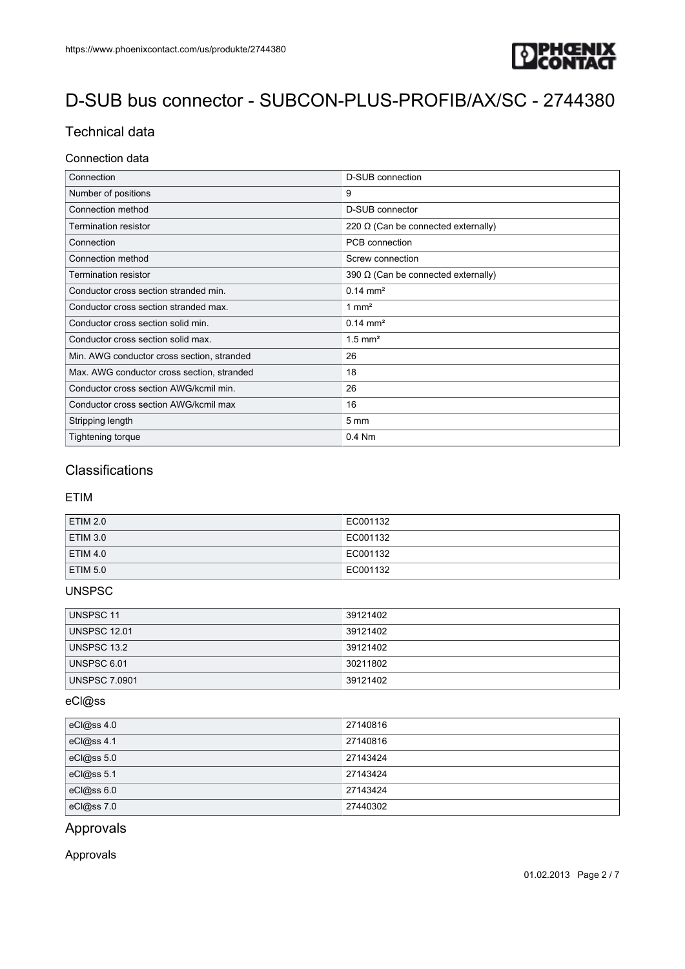

## Technical data

#### Connection data

| Connection                                 | D-SUB connection                           |
|--------------------------------------------|--------------------------------------------|
| Number of positions                        | 9                                          |
| Connection method                          | D-SUB connector                            |
| <b>Termination resistor</b>                | 220 $\Omega$ (Can be connected externally) |
| Connection                                 | PCB connection                             |
| Connection method                          | Screw connection                           |
| Termination resistor                       | 390 $\Omega$ (Can be connected externally) |
| Conductor cross section stranded min.      | $0.14 \, \text{mm}^2$                      |
| Conductor cross section stranded max.      | $1 \text{ mm}^2$                           |
| Conductor cross section solid min.         | $0.14 \, \text{mm}^2$                      |
| Conductor cross section solid max.         | $1.5$ mm <sup>2</sup>                      |
| Min. AWG conductor cross section, stranded | 26                                         |
| Max. AWG conductor cross section, stranded | 18                                         |
| Conductor cross section AWG/kcmil min.     | 26                                         |
| Conductor cross section AWG/kcmil max      | 16                                         |
| Stripping length                           | $5 \text{ mm}$                             |
| Tightening torque                          | $0.4$ Nm                                   |

### **Classifications**

#### ETIM

| ETIM 2.0        | EC001132 |
|-----------------|----------|
| $E$ TIM 3.0     | EC001132 |
| ETIM 4.0        | EC001132 |
| <b>ETIM 5.0</b> | EC001132 |

### UNSPSC

| UNSPSC 11            | 39121402 |
|----------------------|----------|
| <b>UNSPSC 12.01</b>  | 39121402 |
| UNSPSC 13.2          | 39121402 |
| UNSPSC 6.01          | 30211802 |
| <b>UNSPSC 7.0901</b> | 39121402 |

### eCl@ss

| eCl@ss 4.0 | 27140816 |
|------------|----------|
| eCl@ss 4.1 | 27140816 |
| eCl@ss 5.0 | 27143424 |
| eCl@ss 5.1 | 27143424 |
| eCl@ss 6.0 | 27143424 |
| eCl@ss 7.0 | 27440302 |

### Approvals

Approvals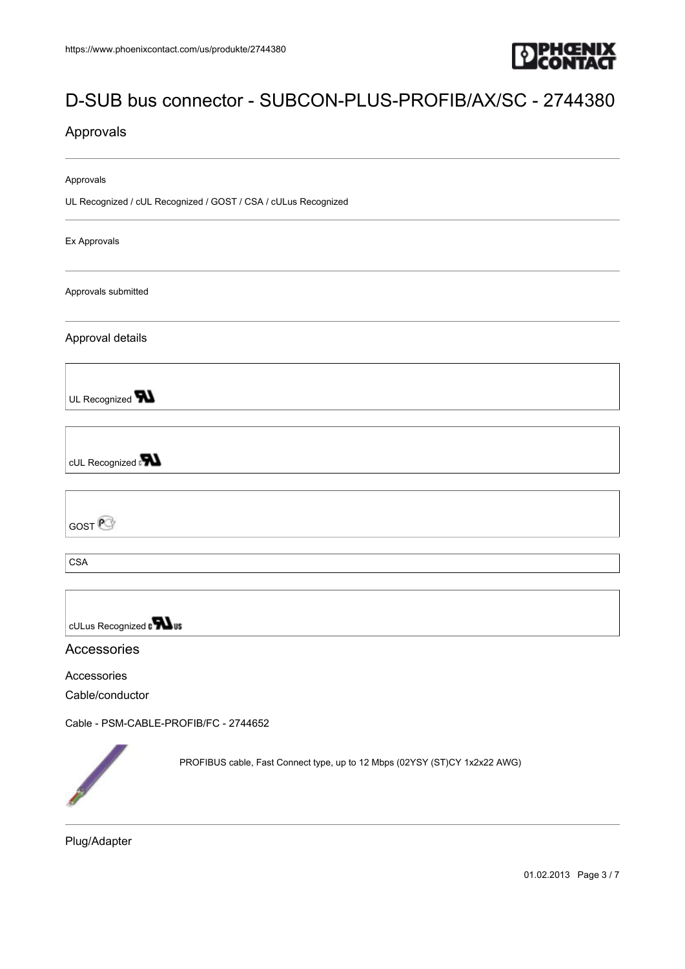

### Approvals

Approvals

UL Recognized / cUL Recognized / GOST / CSA / cULus Recognized

Ex Approvals

Approvals submitted

Approval details

UL Recognized **W** 

cUL Recognized **PN** 

GOST<sup>e</sup>

**CSA** 

cULus Recognized a **Wus** 

### Accessories

#### Accessories

Cable/conductor

[Cable - PSM-CABLE-PROFIB/FC - 2744652](https://www.phoenixcontact.com/us/produkte/2744652)



PROFIBUS cable, Fast Connect type, up to 12 Mbps (02YSY (ST)CY 1x2x22 AWG)

Plug/Adapter

01.02.2013 Page 3 / 7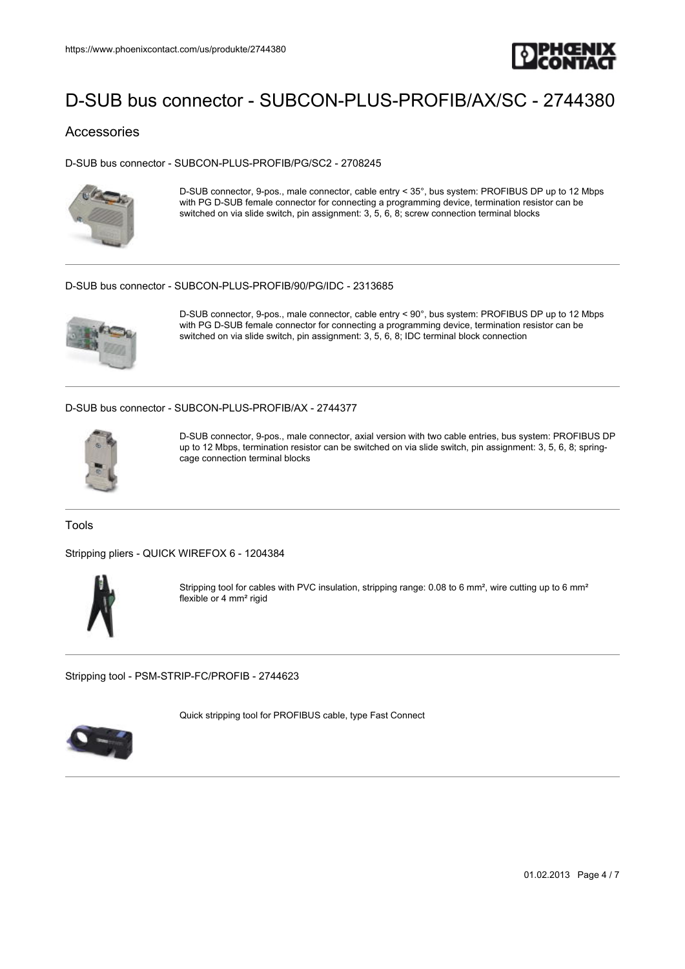

### Accessories

[D-SUB bus connector - SUBCON-PLUS-PROFIB/PG/SC2 - 2708245](https://www.phoenixcontact.com/us/produkte/2708245)



D-SUB connector, 9-pos., male connector, cable entry < 35°, bus system: PROFIBUS DP up to 12 Mbps with PG D-SUB female connector for connecting a programming device, termination resistor can be switched on via slide switch, pin assignment: 3, 5, 6, 8; screw connection terminal blocks

#### [D-SUB bus connector - SUBCON-PLUS-PROFIB/90/PG/IDC - 2313685](https://www.phoenixcontact.com/us/produkte/2313685)



D-SUB connector, 9-pos., male connector, cable entry < 90°, bus system: PROFIBUS DP up to 12 Mbps with PG D-SUB female connector for connecting a programming device, termination resistor can be switched on via slide switch, pin assignment: 3, 5, 6, 8; IDC terminal block connection

[D-SUB bus connector - SUBCON-PLUS-PROFIB/AX - 2744377](https://www.phoenixcontact.com/us/produkte/2744377)



D-SUB connector, 9-pos., male connector, axial version with two cable entries, bus system: PROFIBUS DP up to 12 Mbps, termination resistor can be switched on via slide switch, pin assignment: 3, 5, 6, 8; springcage connection terminal blocks

Tools

[Stripping pliers - QUICK WIREFOX 6 - 1204384](https://www.phoenixcontact.com/us/produkte/1204384)



Stripping tool for cables with PVC insulation, stripping range: 0.08 to 6 mm<sup>2</sup>, wire cutting up to 6 mm<sup>2</sup> flexible or 4  $\text{mm}^2$  rigid

[Stripping tool - PSM-STRIP-FC/PROFIB - 2744623](https://www.phoenixcontact.com/us/produkte/2744623)

Quick stripping tool for PROFIBUS cable, type Fast Connect



01.02.2013 Page 4 / 7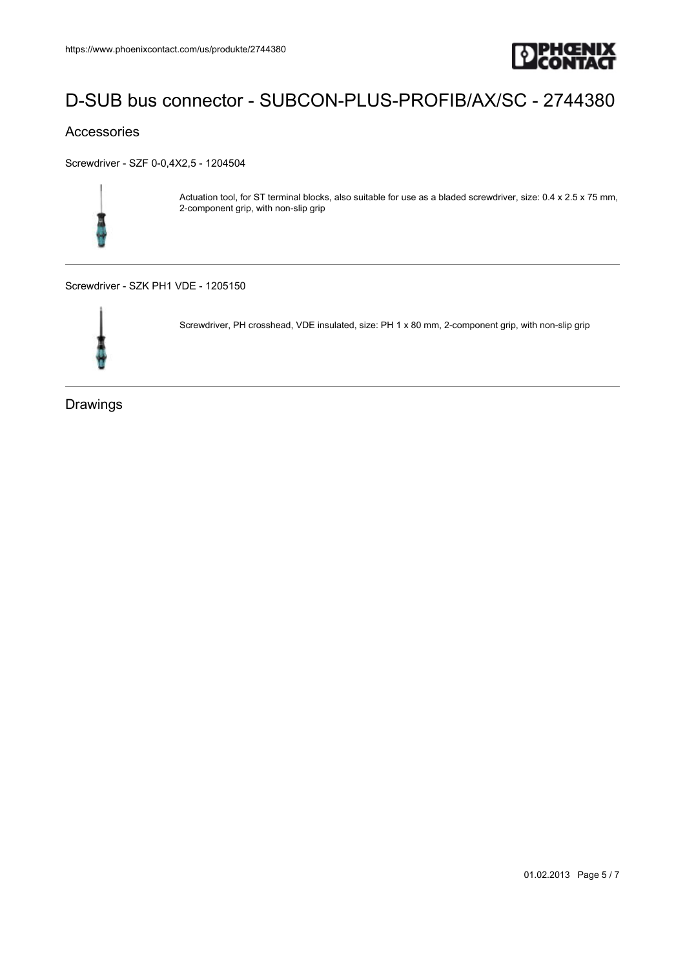

### Accessories

[Screwdriver - SZF 0-0,4X2,5 - 1204504](https://www.phoenixcontact.com/us/produkte/1204504)



Actuation tool, for ST terminal blocks, also suitable for use as a bladed screwdriver, size: 0.4 x 2.5 x 75 mm, 2-component grip, with non-slip grip

[Screwdriver - SZK PH1 VDE - 1205150](https://www.phoenixcontact.com/us/produkte/1205150)



Screwdriver, PH crosshead, VDE insulated, size: PH 1 x 80 mm, 2-component grip, with non-slip grip

Drawings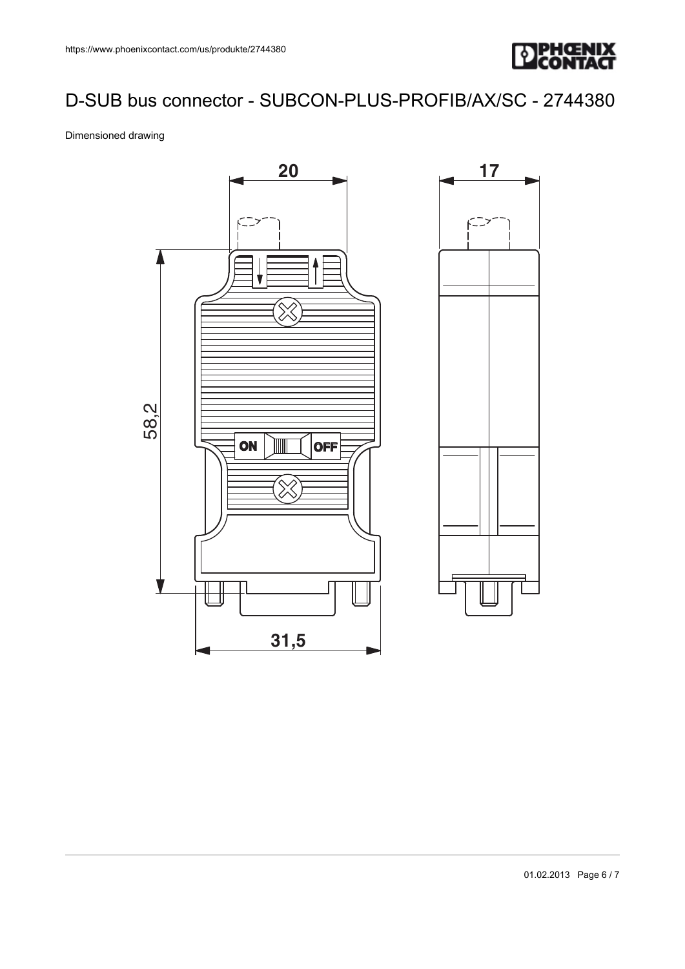

#### Dimensioned drawing